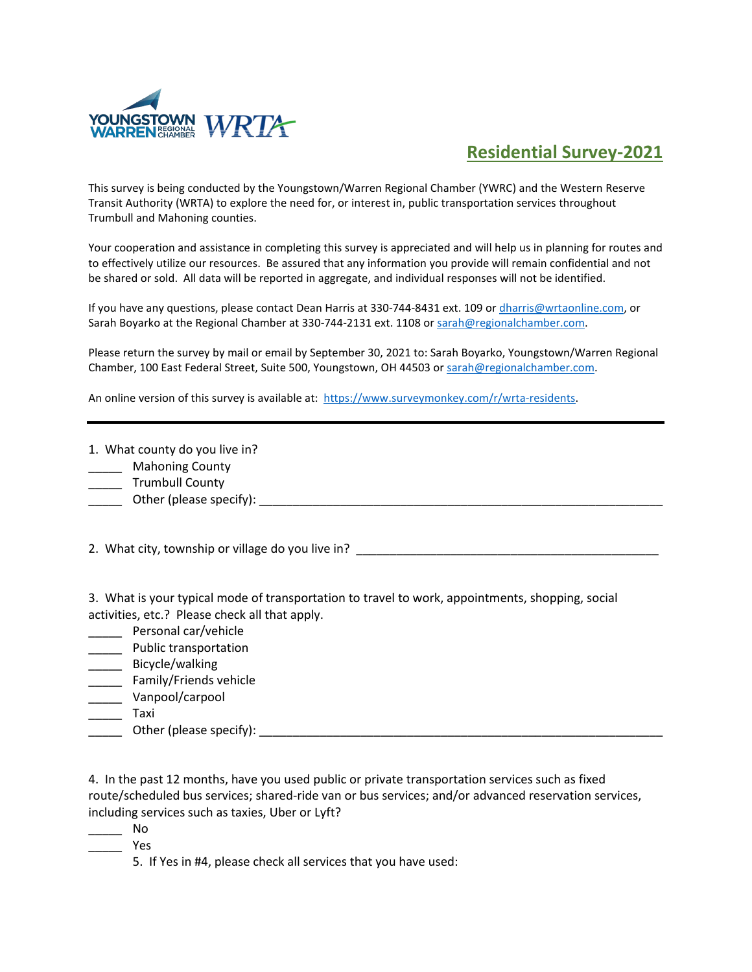

## **Residential Survey-2021**

This survey is being conducted by the Youngstown/Warren Regional Chamber (YWRC) and the Western Reserve Transit Authority (WRTA) to explore the need for, or interest in, public transportation services throughout Trumbull and Mahoning counties.

Your cooperation and assistance in completing this survey is appreciated and will help us in planning for routes and to effectively utilize our resources. Be assured that any information you provide will remain confidential and not be shared or sold. All data will be reported in aggregate, and individual responses will not be identified.

If you have any questions, please contact Dean Harris at 330-744-8431 ext. 109 o[r dharris@wrtaonline.com,](mailto:dharris@wrtaonline.com) or Sarah Boyarko at the Regional Chamber at 330-744-2131 ext. 1108 or sarah@regionalchamber.com.

Please return the survey by mail or email by September 30, 2021 to: Sarah Boyarko, Youngstown/Warren Regional Chamber, 100 East Federal Street, Suite 500, Youngstown, OH 44503 or [sarah@regionalchamber.com.](mailto:sarah@regionalchamber.com) 

An online version of this survey is available at: [https://www.surveymonkey.com/r/wrta-residents.](https://www.surveymonkey.com/r/wrta-residents)

1. What county do you live in?

\_\_\_\_\_ Mahoning County

\_\_\_\_\_\_ Trumbull County

\_\_\_\_\_ Other (please specify): \_\_\_\_\_\_\_\_\_\_\_\_\_\_\_\_\_\_\_\_\_\_\_\_\_\_\_\_\_\_\_\_\_\_\_\_\_\_\_\_\_\_\_\_\_\_\_\_\_\_\_\_\_\_\_\_\_\_\_\_

2. What city, township or village do you live in?

3. What is your typical mode of transportation to travel to work, appointments, shopping, social activities, etc.? Please check all that apply.

\_\_\_\_\_ Personal car/vehicle

\_\_\_\_\_ Public transportation

\_\_\_\_\_ Bicycle/walking

\_\_\_\_\_ Family/Friends vehicle

\_\_\_\_\_ Vanpool/carpool

\_\_\_\_\_ Taxi

Other (please specify):  $\Box$ 

4. In the past 12 months, have you used public or private transportation services such as fixed route/scheduled bus services; shared-ride van or bus services; and/or advanced reservation services, including services such as taxies, Uber or Lyft?

\_\_\_\_\_ No

\_\_\_\_\_ Yes

5. If Yes in #4, please check all services that you have used: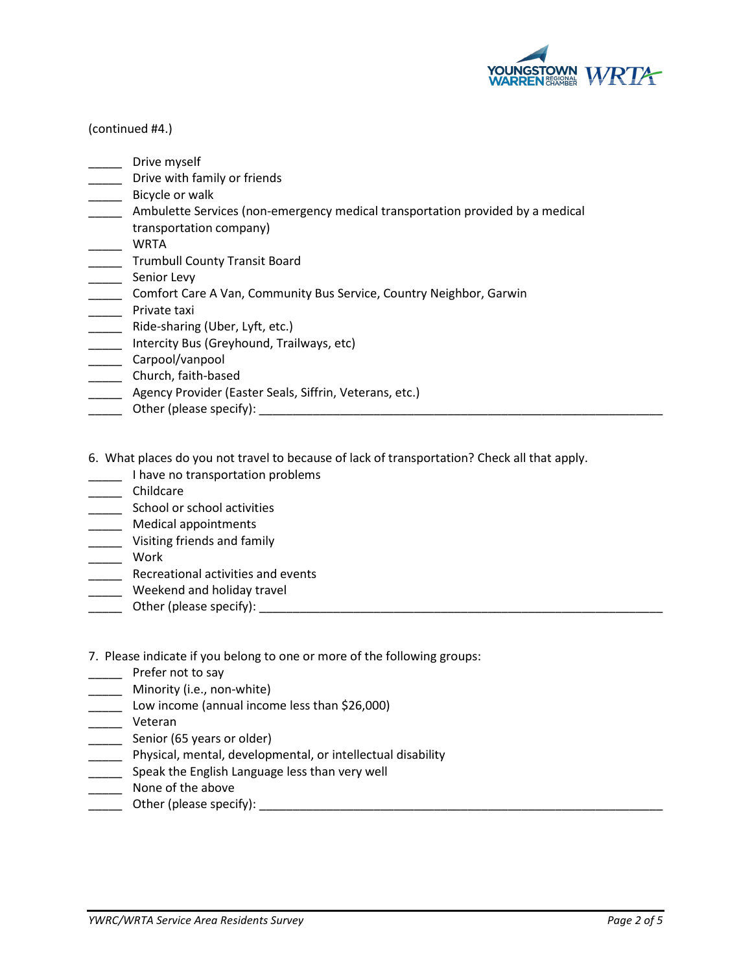

## (continued #4.)

- \_\_\_\_\_ Drive myself
- **\_\_\_\_** Drive with family or friends
- \_\_\_\_\_\_ Bicycle or walk
- \_\_\_\_\_ Ambulette Services (non-emergency medical transportation provided by a medical
- transportation company)
- \_\_\_\_\_ WRTA
- **\_\_\_\_\_** Trumbull County Transit Board
- \_\_\_\_\_ Senior Levy
- \_\_\_\_\_ Comfort Care A Van, Community Bus Service, Country Neighbor, Garwin
- \_\_\_\_\_ Private taxi
- \_\_\_\_\_ Ride-sharing (Uber, Lyft, etc.)
- \_\_\_\_\_ Intercity Bus (Greyhound, Trailways, etc)
- \_\_\_\_\_ Carpool/vanpool
- \_\_\_\_\_\_ Church, faith-based
- **Agency Provider (Easter Seals, Siffrin, Veterans, etc.)**
- \_\_\_\_\_ Other (please specify): \_\_\_\_\_\_\_\_\_\_\_\_\_\_\_\_\_\_\_\_\_\_\_\_\_\_\_\_\_\_\_\_\_\_\_\_\_\_\_\_\_\_\_\_\_\_\_\_\_\_\_\_\_\_\_\_\_\_\_\_
- 6. What places do you not travel to because of lack of transportation? Check all that apply.
- \_\_\_\_\_ I have no transportation problems
- \_\_\_\_\_ Childcare
- \_\_\_\_\_ School or school activities
- \_\_\_\_\_ Medical appointments
- \_\_\_\_\_ Visiting friends and family
- \_\_\_\_\_\_ Work
- **\_\_\_\_\_** Recreational activities and events
- \_\_\_\_\_ Weekend and holiday travel
- \_\_\_\_\_ Other (please specify): \_\_\_\_\_\_\_\_\_\_\_\_\_\_\_\_\_\_\_\_\_\_\_\_\_\_\_\_\_\_\_\_\_\_\_\_\_\_\_\_\_\_\_\_\_\_\_\_\_\_\_\_\_\_\_\_\_\_\_\_
- 7. Please indicate if you belong to one or more of the following groups:
- Prefer not to say
- \_\_\_\_\_ Minority (i.e., non-white)
- \_\_\_\_\_ Low income (annual income less than \$26,000)
- \_\_\_\_\_ Veteran
- \_\_\_\_\_\_ Senior (65 years or older)
- \_\_\_\_\_ Physical, mental, developmental, or intellectual disability
- \_\_\_\_\_ Speak the English Language less than very well
- \_\_\_\_\_ None of the above
- \_\_\_\_\_ Other (please specify): \_\_\_\_\_\_\_\_\_\_\_\_\_\_\_\_\_\_\_\_\_\_\_\_\_\_\_\_\_\_\_\_\_\_\_\_\_\_\_\_\_\_\_\_\_\_\_\_\_\_\_\_\_\_\_\_\_\_\_\_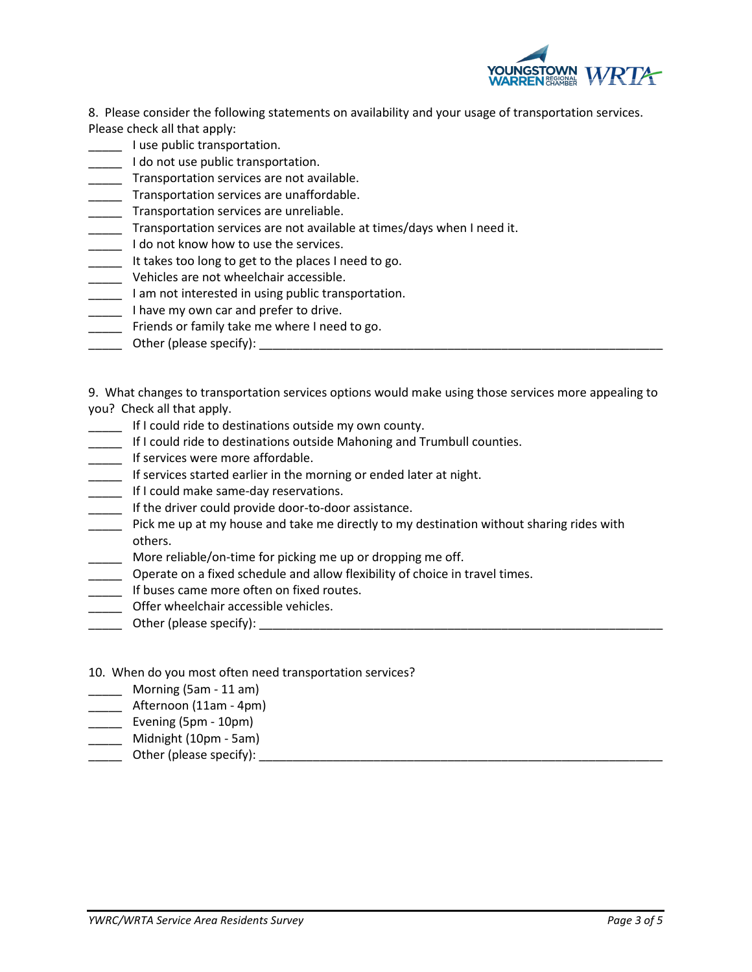

8. Please consider the following statements on availability and your usage of transportation services. Please check all that apply:

- **Lacks** I use public transportation.
- \_\_\_\_\_ I do not use public transportation.
- \_\_\_\_\_ Transportation services are not available.
- \_\_\_\_\_ Transportation services are unaffordable.
- \_\_\_\_\_ Transportation services are unreliable.
- \_\_\_\_\_ Transportation services are not available at times/days when I need it.
- Let the not know how to use the services.
- \_\_\_\_\_ It takes too long to get to the places I need to go.
- \_\_\_\_\_ Vehicles are not wheelchair accessible.
- **The liman and interested in using public transportation.**
- **Thave my own car and prefer to drive.**
- Friends or family take me where I need to go.
- \_\_\_\_\_ Other (please specify): \_\_\_\_\_\_\_\_\_\_\_\_\_\_\_\_\_\_\_\_\_\_\_\_\_\_\_\_\_\_\_\_\_\_\_\_\_\_\_\_\_\_\_\_\_\_\_\_\_\_\_\_\_\_\_\_\_\_\_\_

9. What changes to transportation services options would make using those services more appealing to you? Check all that apply.

- \_\_\_\_\_ If I could ride to destinations outside my own county.
- \_\_\_\_\_ If I could ride to destinations outside Mahoning and Trumbull counties.
- **\_\_\_\_\_** If services were more affordable.
- \_\_\_\_\_ If services started earlier in the morning or ended later at night.
- \_\_\_\_\_ If I could make same-day reservations.
- If the driver could provide door-to-door assistance.
- \_\_\_\_\_ Pick me up at my house and take me directly to my destination without sharing rides with others.
- \_\_\_\_\_ More reliable/on-time for picking me up or dropping me off.
- \_\_\_\_\_ Operate on a fixed schedule and allow flexibility of choice in travel times.
- \_\_\_\_\_ If buses came more often on fixed routes.
- \_\_\_\_\_ Offer wheelchair accessible vehicles.
- \_\_\_\_\_ Other (please specify): \_\_\_\_\_\_\_\_\_\_\_\_\_\_\_\_\_\_\_\_\_\_\_\_\_\_\_\_\_\_\_\_\_\_\_\_\_\_\_\_\_\_\_\_\_\_\_\_\_\_\_\_\_\_\_\_\_\_\_\_
- 10. When do you most often need transportation services?
- \_\_\_\_\_ Morning (5am 11 am)
- \_\_\_\_\_ Afternoon (11am 4pm)
- \_\_\_\_\_ Evening (5pm 10pm)
- \_\_\_\_\_ Midnight (10pm 5am)
- \_\_\_\_\_ Other (please specify): \_\_\_\_\_\_\_\_\_\_\_\_\_\_\_\_\_\_\_\_\_\_\_\_\_\_\_\_\_\_\_\_\_\_\_\_\_\_\_\_\_\_\_\_\_\_\_\_\_\_\_\_\_\_\_\_\_\_\_\_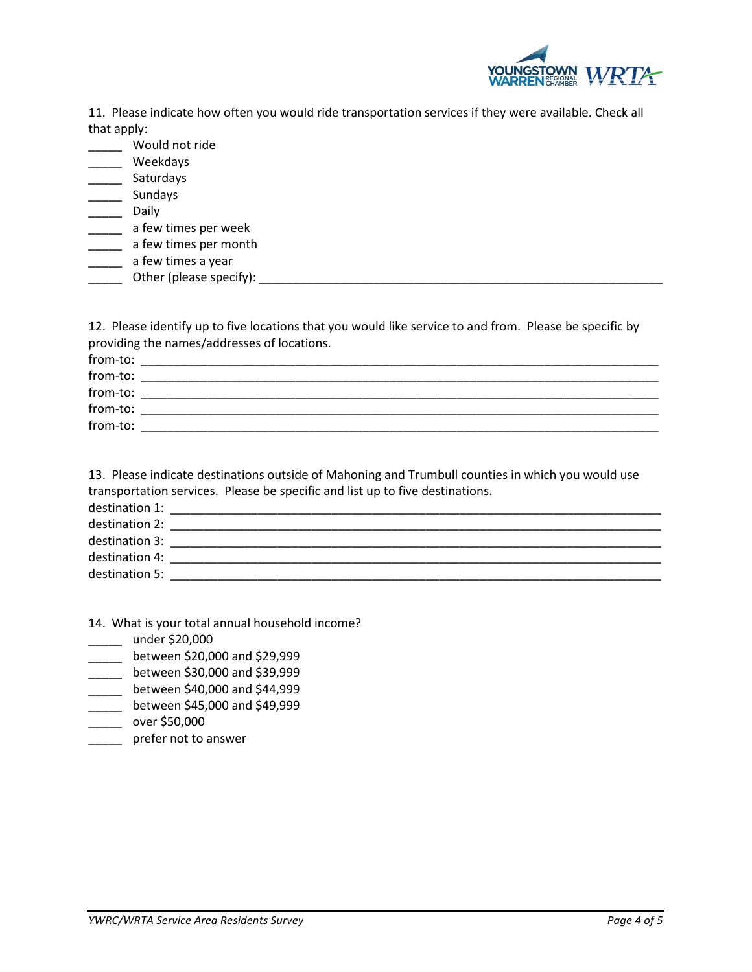

11. Please indicate how often you would ride transportation services if they were available. Check all that apply:

| Would not ride          |
|-------------------------|
| Weekdays                |
| Saturdays               |
| Sundays                 |
| Daily                   |
| a few times per week    |
| a few times per month   |
| a few times a year      |
| Other (please specify): |

12. Please identify up to five locations that you would like service to and from. Please be specific by providing the names/addresses of locations.

| from-to: |  |
|----------|--|
| from-to: |  |
| from-to: |  |
| from-to: |  |
| from-to: |  |
|          |  |

13. Please indicate destinations outside of Mahoning and Trumbull counties in which you would use transportation services. Please be specific and list up to five destinations.

| destination 1: |  |
|----------------|--|
| destination 2: |  |
| destination 3: |  |
| destination 4: |  |
| destination 5: |  |

- 14. What is your total annual household income?
- \_\_\_\_\_ under \$20,000
- \_\_\_\_\_ between \$20,000 and \$29,999
- \_\_\_\_\_ between \$30,000 and \$39,999
- \_\_\_\_\_ between \$40,000 and \$44,999
- \_\_\_\_\_ between \$45,000 and \$49,999
- \_\_\_\_\_ over \$50,000
- \_\_\_\_\_ prefer not to answer